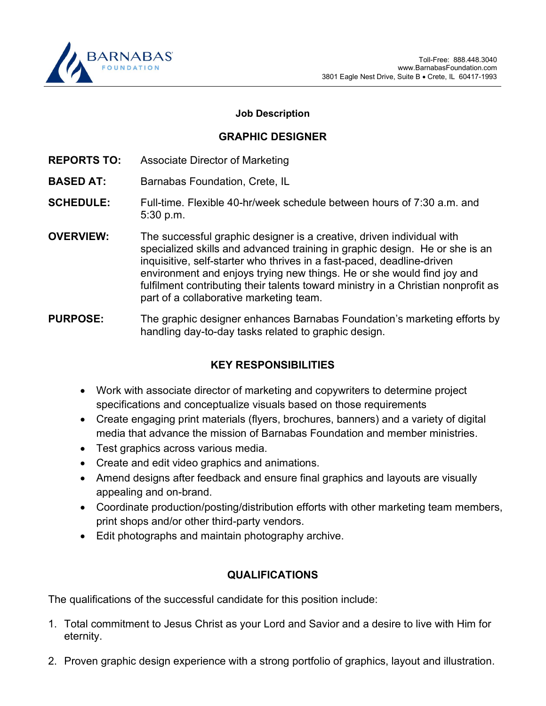

## Job Description

## GRAPHIC DESIGNER

- REPORTS TO: Associate Director of Marketing
- BASED AT: Barnabas Foundation, Crete, IL
- **SCHEDULE:** Full-time. Flexible 40-hr/week schedule between hours of 7:30 a.m. and 5:30 p.m.
- OVERVIEW: The successful graphic designer is a creative, driven individual with specialized skills and advanced training in graphic design. He or she is an inquisitive, self-starter who thrives in a fast-paced, deadline-driven environment and enjoys trying new things. He or she would find joy and fulfilment contributing their talents toward ministry in a Christian nonprofit as part of a collaborative marketing team.

PURPOSE: The graphic designer enhances Barnabas Foundation's marketing efforts by handling day-to-day tasks related to graphic design.

## KEY RESPONSIBILITIES

- Work with associate director of marketing and copywriters to determine project specifications and conceptualize visuals based on those requirements
- Create engaging print materials (flyers, brochures, banners) and a variety of digital media that advance the mission of Barnabas Foundation and member ministries.
- Test graphics across various media.
- Create and edit video graphics and animations.
- Amend designs after feedback and ensure final graphics and layouts are visually appealing and on-brand.
- Coordinate production/posting/distribution efforts with other marketing team members, print shops and/or other third-party vendors.
- Edit photographs and maintain photography archive.

## QUALIFICATIONS

The qualifications of the successful candidate for this position include:

- 1. Total commitment to Jesus Christ as your Lord and Savior and a desire to live with Him for eternity.
- 2. Proven graphic design experience with a strong portfolio of graphics, layout and illustration.